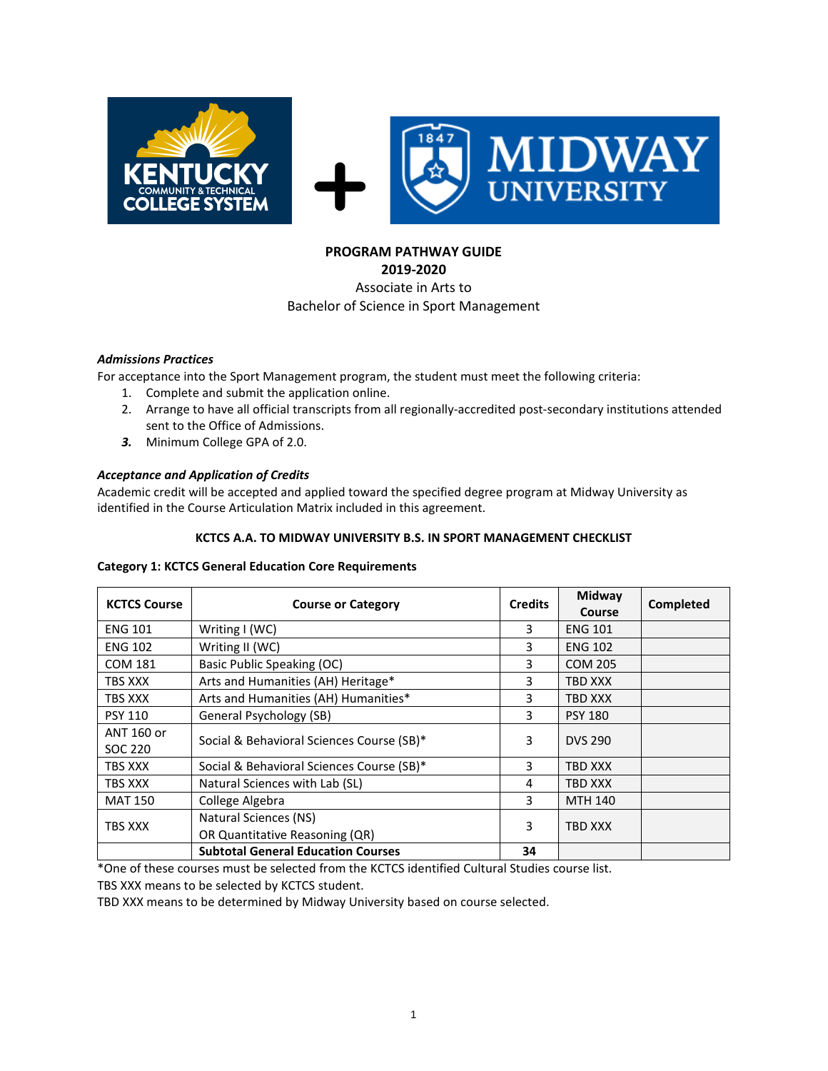

#### **PROGRAM PATHWAY GUIDE 2019-2020**

# Associate in Arts to Bachelor of Science in Sport Management

# *Admissions Practices*

For acceptance into the Sport Management program, the student must meet the following criteria:

- 1. Complete and submit the application online.
- 2. Arrange to have all official transcripts from all regionally-accredited post-secondary institutions attended sent to the Office of Admissions.
- *3.* Minimum College GPA of 2.0.

# *Acceptance and Application of Credits*

Academic credit will be accepted and applied toward the specified degree program at Midway University as identified in the Course Articulation Matrix included in this agreement.

# **KCTCS A.A. TO MIDWAY UNIVERSITY B.S. IN SPORT MANAGEMENT CHECKLIST**

#### **Category 1: KCTCS General Education Core Requirements**

| <b>KCTCS Course</b>   | <b>Course or Category</b>                               | <b>Credits</b> | Midway<br>Course | Completed |
|-----------------------|---------------------------------------------------------|----------------|------------------|-----------|
| <b>ENG 101</b>        | Writing I (WC)                                          | 3              | <b>ENG 101</b>   |           |
| <b>ENG 102</b>        | Writing II (WC)                                         | 3              | <b>ENG 102</b>   |           |
| <b>COM 181</b>        | Basic Public Speaking (OC)                              | 3              | <b>COM 205</b>   |           |
| TBS XXX               | Arts and Humanities (AH) Heritage*                      | 3              | TBD XXX          |           |
| TBS XXX               | Arts and Humanities (AH) Humanities*                    | 3              | TBD XXX          |           |
| <b>PSY 110</b>        | General Psychology (SB)                                 | 3              | <b>PSY 180</b>   |           |
| ANT 160 or<br>SOC 220 | Social & Behavioral Sciences Course (SB)*               | 3              | <b>DVS 290</b>   |           |
| TBS XXX               | Social & Behavioral Sciences Course (SB)*               | 3              | TBD XXX          |           |
| TBS XXX               | Natural Sciences with Lab (SL)                          | 4              | TBD XXX          |           |
| <b>MAT 150</b>        | College Algebra                                         | 3              | <b>MTH 140</b>   |           |
| TBS XXX               | Natural Sciences (NS)<br>OR Quantitative Reasoning (QR) | 3              | TBD XXX          |           |
|                       | <b>Subtotal General Education Courses</b>               | 34             |                  |           |

\*One of these courses must be selected from the KCTCS identified Cultural Studies course list.

TBS XXX means to be selected by KCTCS student.

TBD XXX means to be determined by Midway University based on course selected.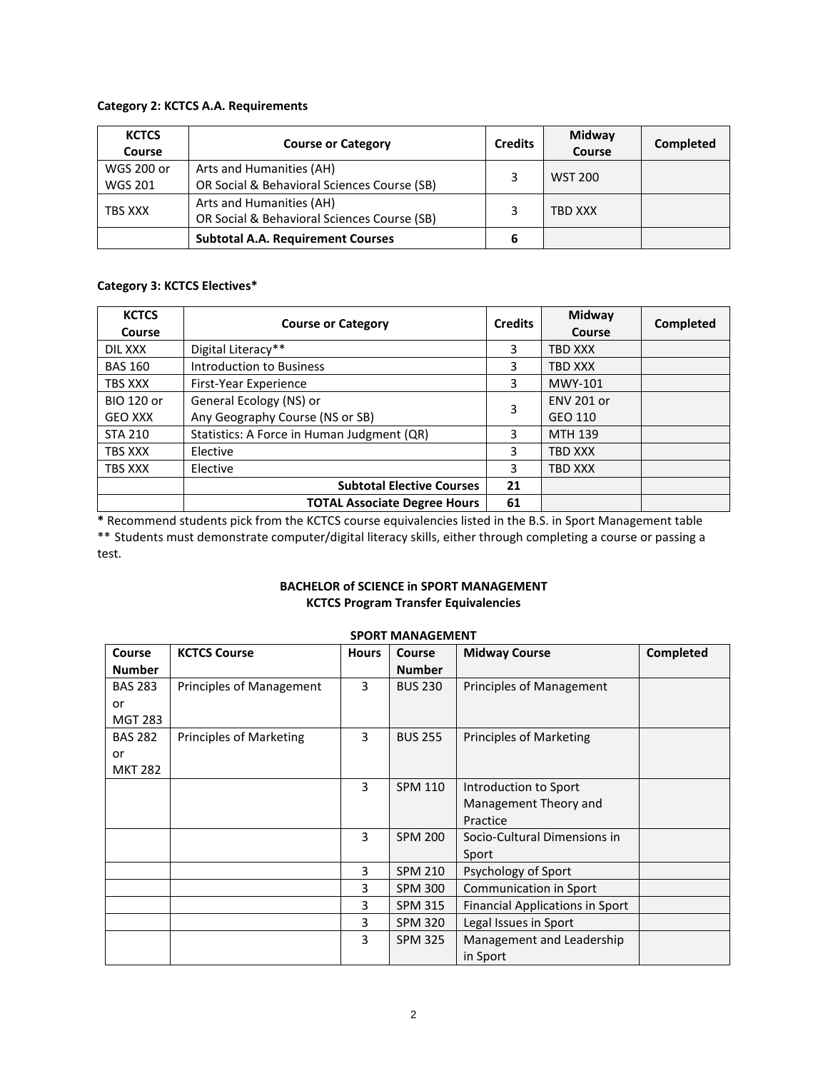#### **Category 2: KCTCS A.A. Requirements**

| <b>KCTCS</b><br>Course | <b>Course or Category</b>                   |   | Midway<br>Course | Completed |
|------------------------|---------------------------------------------|---|------------------|-----------|
| WGS 200 or             | Arts and Humanities (AH)                    |   | <b>WST 200</b>   |           |
| <b>WGS 201</b>         | OR Social & Behavioral Sciences Course (SB) |   |                  |           |
| TBS XXX                | Arts and Humanities (AH)                    |   | TBD XXX          |           |
|                        | OR Social & Behavioral Sciences Course (SB) |   |                  |           |
|                        | <b>Subtotal A.A. Requirement Courses</b>    | 6 |                  |           |

# **Category 3: KCTCS Electives\***

| <b>KCTCS</b><br>Course | <b>Course or Category</b>                  |    | Midway<br>Course  | <b>Completed</b> |
|------------------------|--------------------------------------------|----|-------------------|------------------|
| DIL XXX                | Digital Literacy**                         | 3  | <b>TBD XXX</b>    |                  |
| <b>BAS 160</b>         | <b>Introduction to Business</b>            | 3  | <b>TBD XXX</b>    |                  |
| TBS XXX                | First-Year Experience                      | 3  | MWY-101           |                  |
| <b>BIO 120 or</b>      | General Ecology (NS) or                    | 3  | <b>ENV 201 or</b> |                  |
| <b>GEO XXX</b>         | Any Geography Course (NS or SB)            |    | GEO 110           |                  |
| <b>STA 210</b>         | Statistics: A Force in Human Judgment (QR) | 3  | MTH 139           |                  |
| TBS XXX                | Elective                                   | 3  | <b>TBD XXX</b>    |                  |
| TBS XXX                | Elective                                   | 3  | <b>TBD XXX</b>    |                  |
|                        | <b>Subtotal Elective Courses</b>           | 21 |                   |                  |
|                        | <b>TOTAL Associate Degree Hours</b>        | 61 |                   |                  |

**\*** Recommend students pick from the KCTCS course equivalencies listed in the B.S. in Sport Management table \*\* Students must demonstrate computer/digital literacy skills, either through completing a course or passing a test.

# **BACHELOR of SCIENCE in SPORT MANAGEMENT KCTCS Program Transfer Equivalencies**

| Course         | <b>KCTCS Course</b>            | <b>Hours</b> | <b>Course</b>  | <b>Midway Course</b>                   | Completed |
|----------------|--------------------------------|--------------|----------------|----------------------------------------|-----------|
| <b>Number</b>  |                                |              | <b>Number</b>  |                                        |           |
| <b>BAS 283</b> | Principles of Management       | 3            | <b>BUS 230</b> | Principles of Management               |           |
| or             |                                |              |                |                                        |           |
| <b>MGT 283</b> |                                |              |                |                                        |           |
| <b>BAS 282</b> | <b>Principles of Marketing</b> | 3            | <b>BUS 255</b> | <b>Principles of Marketing</b>         |           |
| or             |                                |              |                |                                        |           |
| <b>MKT 282</b> |                                |              |                |                                        |           |
|                |                                | 3            | <b>SPM 110</b> | Introduction to Sport                  |           |
|                |                                |              |                | Management Theory and                  |           |
|                |                                |              |                | Practice                               |           |
|                |                                | 3            | <b>SPM 200</b> | Socio-Cultural Dimensions in           |           |
|                |                                |              |                | Sport                                  |           |
|                |                                | 3            | <b>SPM 210</b> | Psychology of Sport                    |           |
|                |                                | 3            | <b>SPM 300</b> | Communication in Sport                 |           |
|                |                                | 3            | <b>SPM 315</b> | <b>Financial Applications in Sport</b> |           |
|                |                                | 3            | <b>SPM 320</b> | Legal Issues in Sport                  |           |
|                |                                | 3            | <b>SPM 325</b> | Management and Leadership              |           |
|                |                                |              |                | in Sport                               |           |

# **SPORT MANAGEMENT**